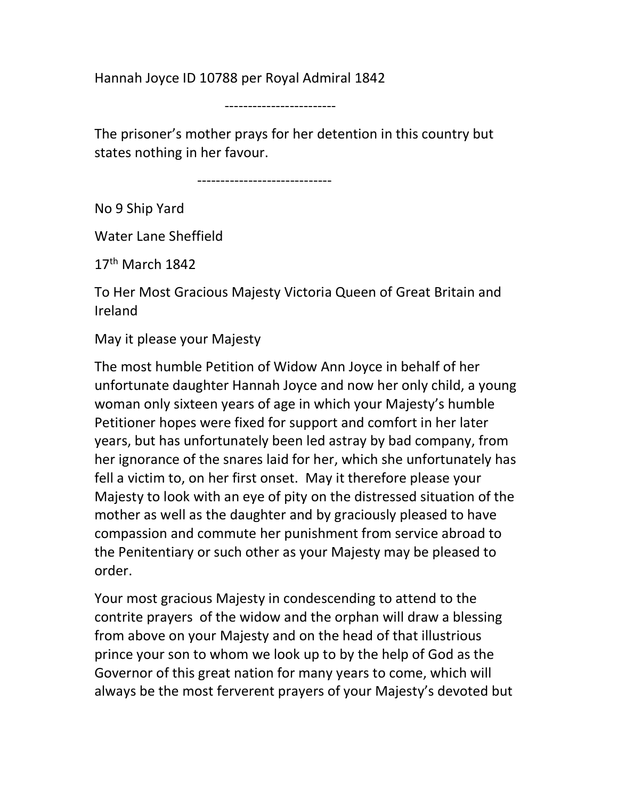Hannah Joyce ID 10788 per Royal Admiral 1842

------------------------

The prisoner's mother prays for her detention in this country but states nothing in her favour.

-----------------------------

No 9 Ship Yard

Water Lane Sheffield

 $17<sup>th</sup>$  March  $1842$ 

To Her Most Gracious Majesty Victoria Queen of Great Britain and Ireland

May it please your Majesty

The most humble Petition of Widow Ann Joyce in behalf of her unfortunate daughter Hannah Joyce and now her only child, a young woman only sixteen years of age in which your Majesty's humble Petitioner hopes were fixed for support and comfort in her later years, but has unfortunately been led astray by bad company, from her ignorance of the snares laid for her, which she unfortunately has fell a victim to, on her first onset. May it therefore please your Majesty to look with an eye of pity on the distressed situation of the mother as well as the daughter and by graciously pleased to have compassion and commute her punishment from service abroad to the Penitentiary or such other as your Majesty may be pleased to order.

Your most gracious Majesty in condescending to attend to the contrite prayers of the widow and the orphan will draw a blessing from above on your Majesty and on the head of that illustrious prince your son to whom we look up to by the help of God as the Governor of this great nation for many years to come, which will always be the most ferverent prayers of your Majesty's devoted but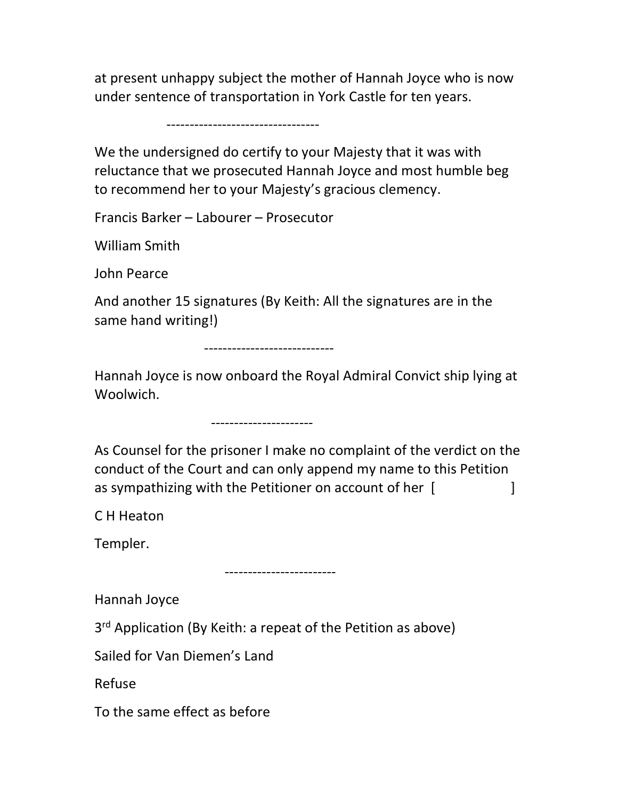at present unhappy subject the mother of Hannah Joyce who is now under sentence of transportation in York Castle for ten years.

---------------------------------

We the undersigned do certify to your Majesty that it was with reluctance that we prosecuted Hannah Joyce and most humble beg to recommend her to your Majesty's gracious clemency.

Francis Barker – Labourer – Prosecutor

William Smith

John Pearce

And another 15 signatures (By Keith: All the signatures are in the same hand writing!)

----------------------------

Hannah Joyce is now onboard the Royal Admiral Convict ship lying at Woolwich.

----------------------

As Counsel for the prisoner I make no complaint of the verdict on the conduct of the Court and can only append my name to this Petition as sympathizing with the Petitioner on account of her [

C H Heaton

Templer.

------------------------

Hannah Joyce

3<sup>rd</sup> Application (By Keith: a repeat of the Petition as above)

Sailed for Van Diemen's Land

Refuse

To the same effect as before